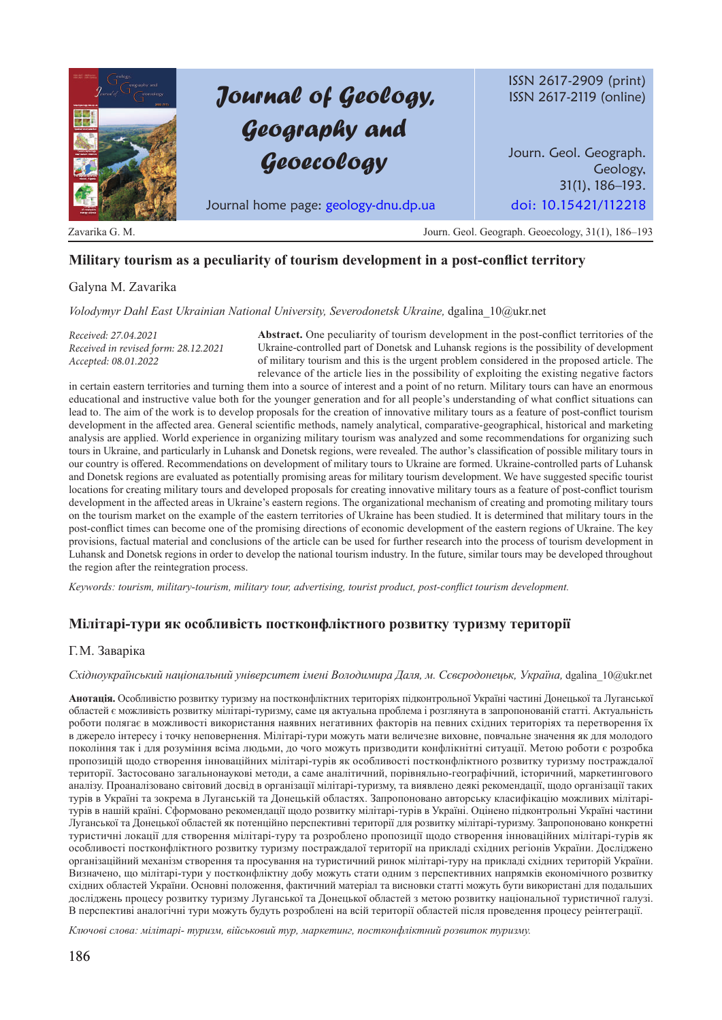# *Journal of Geology, Geography and Geoecology*

ISSN 2617-2909 (print) ISSN 2617-2119 (online)

Journ. Geol. Geograph. Geology, 31(1), 186–193.

Journal home page: geology-dnu.dp.ua doi: 10.15421/112218

Zavarika G. M. Journ. Geol. Geograph. Geoecology, 31(1), 186–193

## **Military tourism as a peculiarity of tourism development in a post-conflict territory**

## Galyna M. Zavarika

*Volodymyr Dahl East Ukrainian National University, Severodonetsk Ukraine,* dgalina\_10@ukr.net

*Received: 27.04.2021 Received in revised form: 28.12.2021 Accepted: 08.01.2022*

**Abstract.** One peculiarity of tourism development in the post-conflict territories of the Ukraine-controlled part of Donetsk and Luhansk regions is the possibility of development of military tourism and this is the urgent problem considered in the proposed article. The relevance of the article lies in the possibility of exploiting the existing negative factors

in certain eastern territories and turning them into a source of interest and a point of no return. Military tours can have an enormous educational and instructive value both for the younger generation and for all people's understanding of what conflict situations can lead to. The aim of the work is to develop proposals for the creation of innovative military tours as a feature of post-conflict tourism development in the affected area. General scientific methods, namely analytical, comparative-geographical, historical and marketing analysis are applied. World experience in organizing military tourism was analyzed and some recommendations for organizing such tours in Ukraine, and particularly in Luhansk and Donetsk regions, were revealed. The author's classification of possible military tours in our country is offered. Recommendations on development of military tours to Ukraine are formed. Ukraine-controlled parts of Luhansk and Donetsk regions are evaluated as potentially promising areas for military tourism development. We have suggested specific tourist locations for creating military tours and developed proposals for creating innovative military tours as a feature of post-conflict tourism development in the affected areas in Ukraine's eastern regions. The organizational mechanism of creating and promoting military tours on the tourism market on the example of the eastern territories of Ukraine has been studied. It is determined that military tours in the post-conflict times can become one of the promising directions of economic development of the eastern regions of Ukraine. The key provisions, factual material and conclusions of the article can be used for further research into the process of tourism development in Luhansk and Donetsk regions in order to develop the national tourism industry. In the future, similar tours may be developed throughout the region after the reintegration process.

*Keywords: tourism, military-tourism, military tour, advertising, tourist product, post-conflict tourism development.*

## **Мілітарі-тури як особливість постконфліктного розвитку туризму території**

### Г. М. Заваріка

#### *Східноукраїнський національний університет імені Володимира Даля, м. Сєвєродонецьк, Україна,* dgalina\_10@ukr.net

**Анотація.** Особливістю розвитку туризму на постконфліктних територіях підконтрольної Україні частині Донецької та Луганської областей є можливість розвитку мілітарі-туризму, саме ця актуальна проблема і розглянута в запропонованій статті. Актуальність роботи полягає в можливості використання наявних негативних факторів на певних східних територіях та перетворення їх в джерело інтересу і точку неповернення. Мілітарі-тури можуть мати величезне виховне, повчальне значення як для молодого покоління так і для розуміння всіма людьми, до чого можуть призводити конфлікнітні ситуації. Метою роботи є розробка пропозицій щодо створення інноваційних мілітарі-турів як особливості постконфліктного розвитку туризму постраждалої території. Застосовано загальнонаукові методи, а саме аналітичний, порівняльно-географічний, історичний, маркетингового аналізу. Проаналізовано світовий досвід в організації мілітарі-туризму, та виявлено деякі рекомендації, щодо організації таких турів в Україні та зокрема в Луганській та Донецькій областях. Запропоновано авторську класифікацію можливих мілітарітурів в нашій країні. Сформовано рекомендації щодо розвитку мілітарі-турів в Україні. Оцінено підконтрольні Україні частини Луганської та Донецької областей як потенційно перспективні території для розвитку мілітарі-туризму. Запропоновано конкретні туристичні локації для створення мілітарі-туру та розроблено пропозиції щодо створення інноваційних мілітарі-турів як особливості постконфліктного розвитку туризму постраждалої території на прикладі східних регіонів України. Досліджено організаційний механізм створення та просування на туристичний ринок мілітарі-туру на прикладі східних територій України. Визначено, що мілітарі-тури у постконфліктну добу можуть стати одним з перспективних напрямків економічного розвитку східних областей України. Основні положення, фактичний матеріал та висновки статті можуть бути використані для подальших досліджень процесу розвитку туризму Луганської та Донецької областей з метою розвитку національної туристичної галузі. В перспективі аналогічні тури можуть будуть розроблені на всій території областей після проведення процесу реінтеграції.

*Ключові слова: мілітарі- туризм, військовий тур, маркетинг, постконфліктний розвиток туризму.*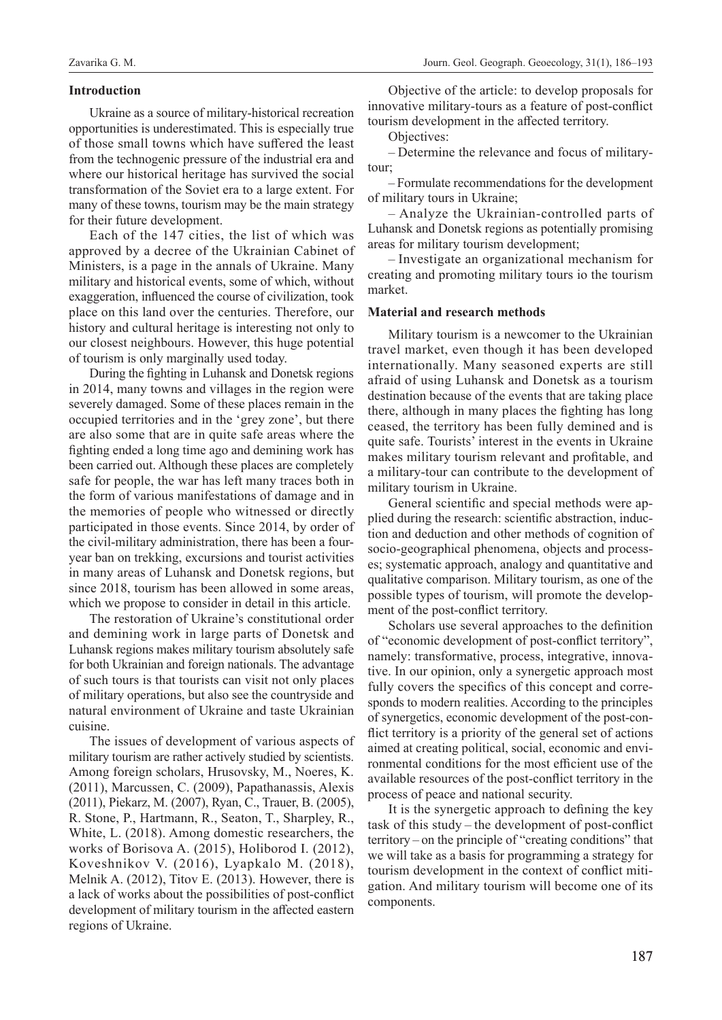#### **Introduction**

Ukraine as a source of military-historical recreation opportunities is underestimated. This is especially true of those small towns which have suffered the least from the technogenic pressure of the industrial era and where our historical heritage has survived the social transformation of the Soviet era to a large extent. For many of these towns, tourism may be the main strategy for their future development.

Each of the 147 cities, the list of which was approved by a decree of the Ukrainian Cabinet of Ministers, is a page in the annals of Ukraine. Many military and historical events, some of which, without exaggeration, influenced the course of civilization, took place on this land over the centuries. Therefore, our history and cultural heritage is interesting not only to our closest neighbours. However, this huge potential of tourism is only marginally used today.

During the fighting in Luhansk and Donetsk regions in 2014, many towns and villages in the region were severely damaged. Some of these places remain in the occupied territories and in the 'grey zone', but there are also some that are in quite safe areas where the fighting ended a long time ago and demining work has been carried out. Although these places are completely safe for people, the war has left many traces both in the form of various manifestations of damage and in the memories of people who witnessed or directly participated in those events. Since 2014, by order of the civil-military administration, there has been a fouryear ban on trekking, excursions and tourist activities in many areas of Luhansk and Donetsk regions, but since 2018, tourism has been allowed in some areas, which we propose to consider in detail in this article.

The restoration of Ukraine's constitutional order and demining work in large parts of Donetsk and Luhansk regions makes military tourism absolutely safe for both Ukrainian and foreign nationals. The advantage of such tours is that tourists can visit not only places of military operations, but also see the countryside and natural environment of Ukraine and taste Ukrainian cuisine.

The issues of development of various aspects of military tourism are rather actively studied by scientists. Among foreign scholars, Hrusovsky, M., Noeres, K. (2011), Marcussen, C. (2009), Papathanassis, Alexis (2011), Piekarz, M. (2007), Ryan, C., Trauer, B. (2005), R. Stone, P., Hartmann, R., Seaton, T., Sharpley, R., White, L. (2018). Among domestic researchers, the works of Borisova A. (2015), Holiborod I. (2012), Koveshnikov V. (2016), Lyapkalo M. (2018), Melnik A. (2012), Titov E. (2013). However, there is a lack of works about the possibilities of post-conflict development of military tourism in the affected eastern regions of Ukraine.

Objective of the article: to develop proposals for innovative military-tours as a feature of post-conflict tourism development in the affected territory.

Objectives:

– Determine the relevance and focus of militarytour;

– Formulate recommendations for the development of military tours in Ukraine;

– Analyze the Ukrainian-controlled parts of Luhansk and Donetsk regions as potentially promising areas for military tourism development;

– Investigate an organizational mechanism for creating and promoting military tours io the tourism market.

### **Material and research methods**

Military tourism is a newcomer to the Ukrainian travel market, even though it has been developed internationally. Many seasoned experts are still afraid of using Luhansk and Donetsk as a tourism destination because of the events that are taking place there, although in many places the fighting has long ceased, the territory has been fully demined and is quite safe. Tourists' interest in the events in Ukraine makes military tourism relevant and profitable, and a military-tour can contribute to the development of military tourism in Ukraine.

General scientific and special methods were applied during the research: scientific abstraction, induction and deduction and other methods of cognition of socio-geographical phenomena, objects and processes; systematic approach, analogy and quantitative and qualitative comparison. Military tourism, as one of the possible types of tourism, will promote the development of the post-conflict territory.

Scholars use several approaches to the definition of "economic development of post-conflict territory", namely: transformative, process, integrative, innovative. In our opinion, only a synergetic approach most fully covers the specifics of this concept and corresponds to modern realities. According to the principles of synergetics, economic development of the post-conflict territory is a priority of the general set of actions aimed at creating political, social, economic and environmental conditions for the most efficient use of the available resources of the post-conflict territory in the process of peace and national security.

It is the synergetic approach to defining the key task of this study – the development of post-conflict territory – on the principle of "creating conditions" that we will take as a basis for programming a strategy for tourism development in the context of conflict mitigation. And military tourism will become one of its components.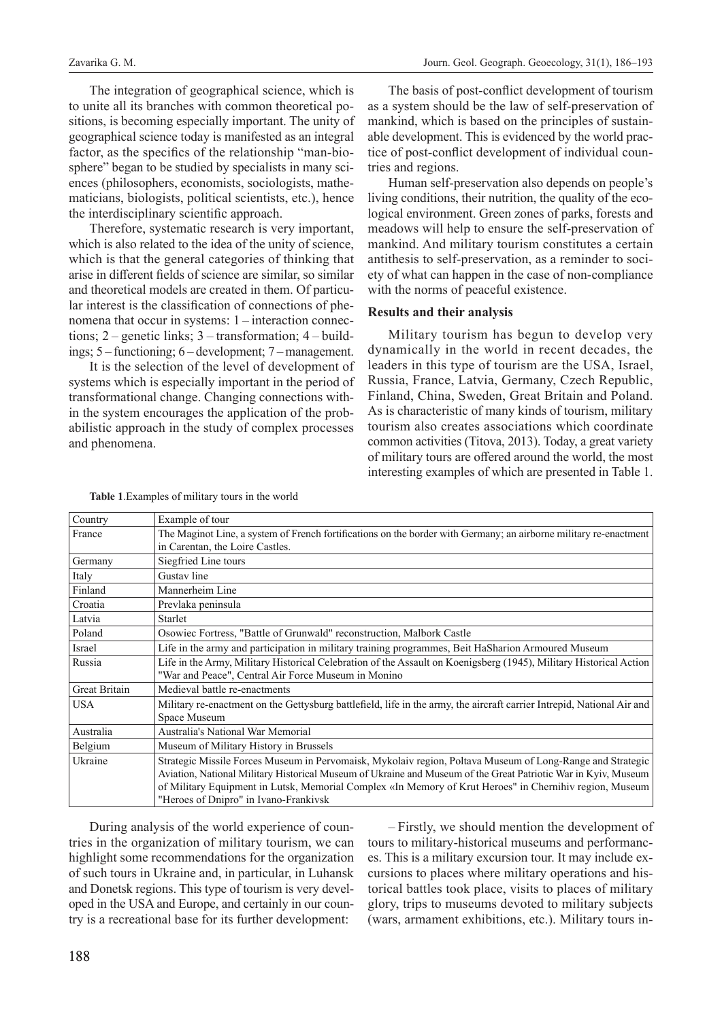The integration of geographical science, which is to unite all its branches with common theoretical positions, is becoming especially important. The unity of geographical science today is manifested as an integral factor, as the specifics of the relationship "man-biosphere" began to be studied by specialists in many sciences (philosophers, economists, sociologists, mathematicians, biologists, political scientists, etc.), hence the interdisciplinary scientific approach.

Therefore, systematic research is very important, which is also related to the idea of the unity of science, which is that the general categories of thinking that arise in different fields of science are similar, so similar and theoretical models are created in them. Of particular interest is the classification of connections of phenomena that occur in systems: 1 – interaction connections; 2 – genetic links; 3 – transformation; 4 – buildings; 5 – functioning; 6 – development; 7 – management.

It is the selection of the level of development of systems which is especially important in the period of transformational change. Changing connections within the system encourages the application of the probabilistic approach in the study of complex processes and phenomena.

The basis of post-conflict development of tourism as a system should be the law of self-preservation of mankind, which is based on the principles of sustainable development. This is evidenced by the world practice of post-conflict development of individual countries and regions.

Human self-preservation also depends on people's living conditions, their nutrition, the quality of the ecological environment. Green zones of parks, forests and meadows will help to ensure the self-preservation of mankind. And military tourism constitutes a certain antithesis to self-preservation, as a reminder to society of what can happen in the case of non-compliance with the norms of peaceful existence.

#### **Results and their analysis**

Military tourism has begun to develop very dynamically in the world in recent decades, the leaders in this type of tourism are the USA, Israel, Russia, France, Latvia, Germany, Czech Republic, Finland, China, Sweden, Great Britain and Poland. As is characteristic of many kinds of tourism, military tourism also creates associations which coordinate common activities (Titova, 2013). Today, a great variety of military tours are offered around the world, the most interesting examples of which are presented in Table 1.

| Country              | Example of tour                                                                                                                                                           |  |  |  |  |
|----------------------|---------------------------------------------------------------------------------------------------------------------------------------------------------------------------|--|--|--|--|
| France               | The Maginot Line, a system of French fortifications on the border with Germany; an airborne military re-enactment                                                         |  |  |  |  |
|                      | in Carentan, the Loire Castles.                                                                                                                                           |  |  |  |  |
| Germany              | Siegfried Line tours                                                                                                                                                      |  |  |  |  |
| Italy                | Gustav line                                                                                                                                                               |  |  |  |  |
| Finland              | Mannerheim Line                                                                                                                                                           |  |  |  |  |
| Croatia              | Prevlaka peninsula                                                                                                                                                        |  |  |  |  |
| Latvia               | Starlet                                                                                                                                                                   |  |  |  |  |
| Poland               | Osowiec Fortress, "Battle of Grunwald" reconstruction, Malbork Castle                                                                                                     |  |  |  |  |
| Israel               | Life in the army and participation in military training programmes, Beit HaSharion Armoured Museum                                                                        |  |  |  |  |
| Russia               | Life in the Army, Military Historical Celebration of the Assault on Koenigsberg (1945), Military Historical Action<br>"War and Peace", Central Air Force Museum in Monino |  |  |  |  |
| <b>Great Britain</b> | Medieval battle re-enactments                                                                                                                                             |  |  |  |  |
| <b>USA</b>           | Military re-enactment on the Gettysburg battlefield, life in the army, the aircraft carrier Intrepid, National Air and                                                    |  |  |  |  |
|                      | Space Museum                                                                                                                                                              |  |  |  |  |
| Australia            | Australia's National War Memorial                                                                                                                                         |  |  |  |  |
| Belgium              | Museum of Military History in Brussels                                                                                                                                    |  |  |  |  |
| Ukraine              | Strategic Missile Forces Museum in Pervomaisk, Mykolaiv region, Poltava Museum of Long-Range and Strategic                                                                |  |  |  |  |
|                      | Aviation, National Military Historical Museum of Ukraine and Museum of the Great Patriotic War in Kyiv, Museum                                                            |  |  |  |  |
|                      | of Military Equipment in Lutsk, Memorial Complex «In Memory of Krut Heroes" in Chernihiv region, Museum                                                                   |  |  |  |  |
|                      | "Heroes of Dnipro" in Ivano-Frankivsk                                                                                                                                     |  |  |  |  |

**Table 1**.Examples of military tours in the world

During analysis of the world experience of countries in the organization of military tourism, we can highlight some recommendations for the organization of such tours in Ukraine and, in particular, in Luhansk and Donetsk regions. This type of tourism is very developed in the USA and Europe, and certainly in our country is a recreational base for its further development:

– Firstly, we should mention the development of tours to military-historical museums and performances. This is a military excursion tour. It may include excursions to places where military operations and historical battles took place, visits to places of military glory, trips to museums devoted to military subjects (wars, armament exhibitions, etc.). Military tours in-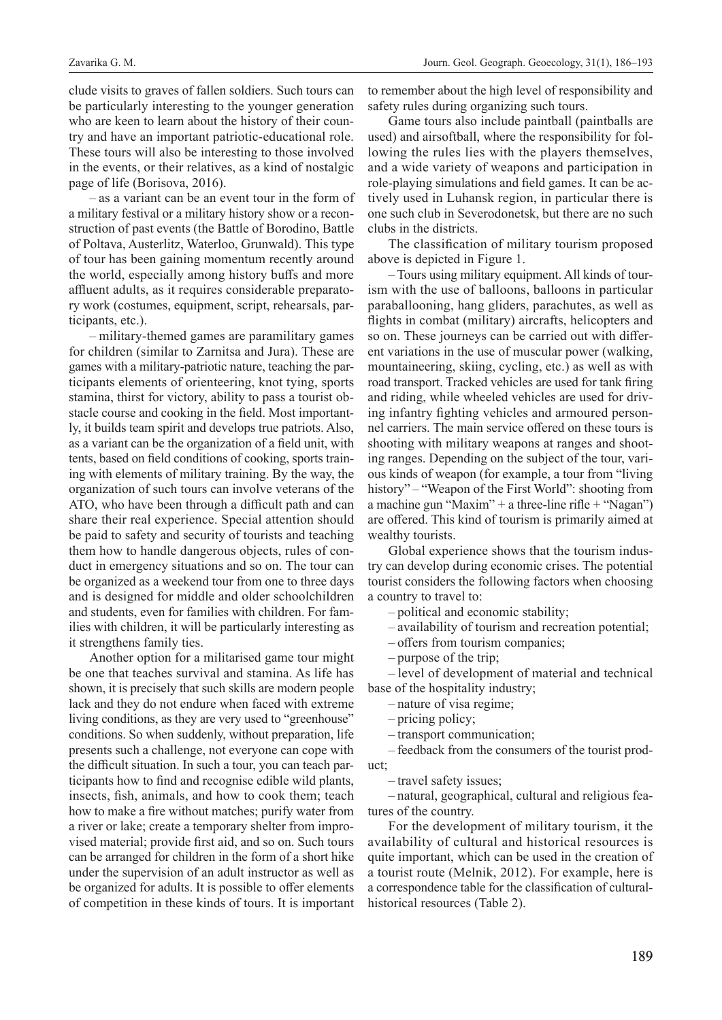clude visits to graves of fallen soldiers. Such tours can be particularly interesting to the younger generation who are keen to learn about the history of their country and have an important patriotic-educational role. These tours will also be interesting to those involved in the events, or their relatives, as a kind of nostalgic page of life (Borisova, 2016).

– as a variant can be an event tour in the form of a military festival or a military history show or a reconstruction of past events (the Battle of Borodino, Battle of Poltava, Austerlitz, Waterloo, Grunwald). This type of tour has been gaining momentum recently around the world, especially among history buffs and more affluent adults, as it requires considerable preparatory work (costumes, equipment, script, rehearsals, participants, etc.).

– military-themed games are paramilitary games for children (similar to Zarnitsa and Jura). These are games with a military-patriotic nature, teaching the participants elements of orienteering, knot tying, sports stamina, thirst for victory, ability to pass a tourist obstacle course and cooking in the field. Most importantly, it builds team spirit and develops true patriots. Also, as a variant can be the organization of a field unit, with tents, based on field conditions of cooking, sports training with elements of military training. By the way, the organization of such tours can involve veterans of the ATO, who have been through a difficult path and can share their real experience. Special attention should be paid to safety and security of tourists and teaching them how to handle dangerous objects, rules of conduct in emergency situations and so on. The tour can be organized as a weekend tour from one to three days and is designed for middle and older schoolchildren and students, even for families with children. For families with children, it will be particularly interesting as it strengthens family ties.

Another option for a militarised game tour might be one that teaches survival and stamina. As life has shown, it is precisely that such skills are modern people lack and they do not endure when faced with extreme living conditions, as they are very used to "greenhouse" conditions. So when suddenly, without preparation, life presents such a challenge, not everyone can cope with the difficult situation. In such a tour, you can teach participants how to find and recognise edible wild plants, insects, fish, animals, and how to cook them; teach how to make a fire without matches; purify water from a river or lake; create a temporary shelter from improvised material; provide first aid, and so on. Such tours can be arranged for children in the form of a short hike under the supervision of an adult instructor as well as be organized for adults. It is possible to offer elements of competition in these kinds of tours. It is important

to remember about the high level of responsibility and safety rules during organizing such tours.

Game tours also include paintball (paintballs are used) and airsoftball, where the responsibility for following the rules lies with the players themselves, and a wide variety of weapons and participation in role-playing simulations and field games. It can be actively used in Luhansk region, in particular there is one such club in Severodonetsk, but there are no such clubs in the districts.

The classification of military tourism proposed above is depicted in Figure 1.

– Tours using military equipment. All kinds of tourism with the use of balloons, balloons in particular paraballooning, hang gliders, parachutes, as well as flights in combat (military) aircrafts, helicopters and so on. These journeys can be carried out with different variations in the use of muscular power (walking, mountaineering, skiing, cycling, etc.) as well as with road transport. Tracked vehicles are used for tank firing and riding, while wheeled vehicles are used for driving infantry fighting vehicles and armoured personnel carriers. The main service offered on these tours is shooting with military weapons at ranges and shooting ranges. Depending on the subject of the tour, various kinds of weapon (for example, a tour from "living history" – "Weapon of the First World": shooting from a machine gun "Maxim" + a three-line rifle + "Nagan") are offered. This kind of tourism is primarily aimed at wealthy tourists.

Global experience shows that the tourism industry can develop during economic crises. The potential tourist considers the following factors when choosing a country to travel to:

– political and economic stability;

– availability of tourism and recreation potential;

- offers from tourism companies;
- purpose of the trip;

– level of development of material and technical base of the hospitality industry;

- nature of visa regime;
- pricing policy;
- transport communication;

– feedback from the consumers of the tourist product;

– travel safety issues;

– natural, geographical, cultural and religious features of the country.

For the development of military tourism, it the availability of cultural and historical resources is quite important, which can be used in the creation of a tourist route (Melnik, 2012). For example, here is a correspondence table for the classification of culturalhistorical resources (Table 2).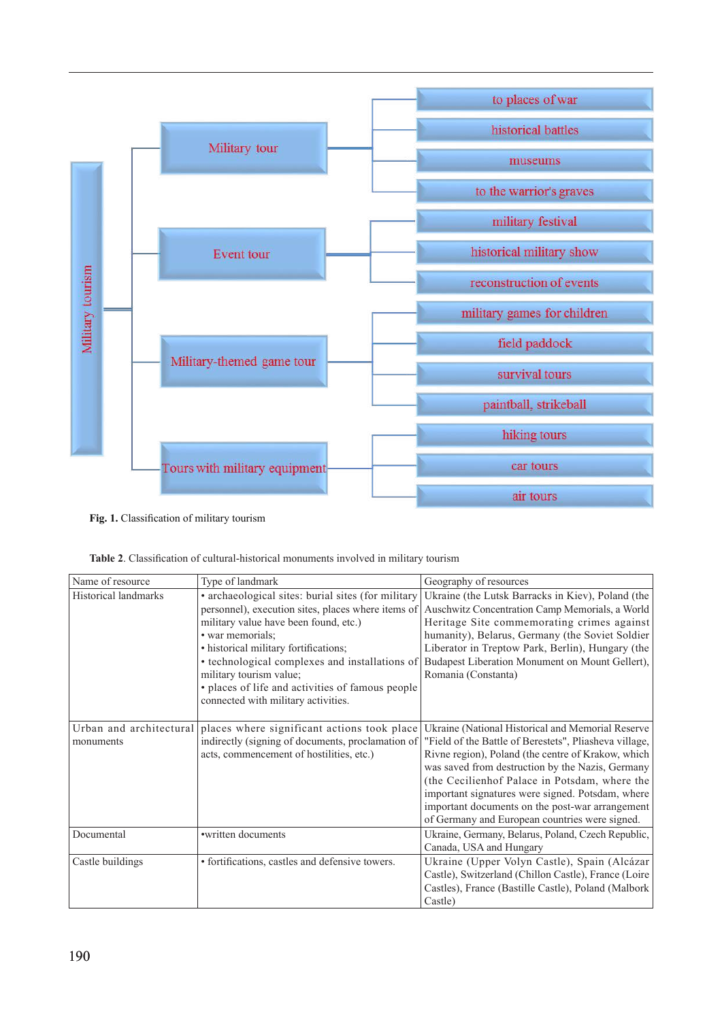

**Fig. 1.** Classification of military tourism

|  |  | <b>Table 2.</b> Classification of cultural-historical monuments involved in military tourism |  |
|--|--|----------------------------------------------------------------------------------------------|--|
|  |  |                                                                                              |  |

| Name of resource        | Type of landmark                                   | Geography of resources                                 |  |
|-------------------------|----------------------------------------------------|--------------------------------------------------------|--|
| Historical landmarks    | · archaeological sites: burial sites (for military | Ukraine (the Lutsk Barracks in Kiev), Poland (the      |  |
|                         | personnel), execution sites, places where items of | Auschwitz Concentration Camp Memorials, a World        |  |
|                         | military value have been found, etc.)              | Heritage Site commemorating crimes against             |  |
|                         | • war memorials;                                   | humanity), Belarus, Germany (the Soviet Soldier        |  |
|                         | · historical military fortifications;              | Liberator in Treptow Park, Berlin), Hungary (the       |  |
|                         | • technological complexes and installations of     | Budapest Liberation Monument on Mount Gellert),        |  |
|                         | military tourism value;                            | Romania (Constanta)                                    |  |
|                         | · places of life and activities of famous people   |                                                        |  |
|                         | connected with military activities.                |                                                        |  |
|                         |                                                    |                                                        |  |
| Urban and architectural | places where significant actions took place        | Ukraine (National Historical and Memorial Reserve      |  |
| monuments               | indirectly (signing of documents, proclamation of  | "Field of the Battle of Berestets", Pliasheva village, |  |
|                         | acts, commencement of hostilities, etc.)           | Rivne region), Poland (the centre of Krakow, which     |  |
|                         |                                                    | was saved from destruction by the Nazis, Germany       |  |
|                         |                                                    | (the Cecilienhof Palace in Potsdam, where the          |  |
|                         |                                                    | important signatures were signed. Potsdam, where       |  |
|                         |                                                    | important documents on the post-war arrangement        |  |
|                         |                                                    | of Germany and European countries were signed.         |  |
| Documental              | •written documents                                 | Ukraine, Germany, Belarus, Poland, Czech Republic,     |  |
|                         |                                                    | Canada, USA and Hungary                                |  |
| Castle buildings        | • fortifications, castles and defensive towers.    | Ukraine (Upper Volyn Castle), Spain (Alcázar           |  |
|                         |                                                    | Castle), Switzerland (Chillon Castle), France (Loire   |  |
|                         |                                                    | Castles), France (Bastille Castle), Poland (Malbork)   |  |
|                         |                                                    | Castle)                                                |  |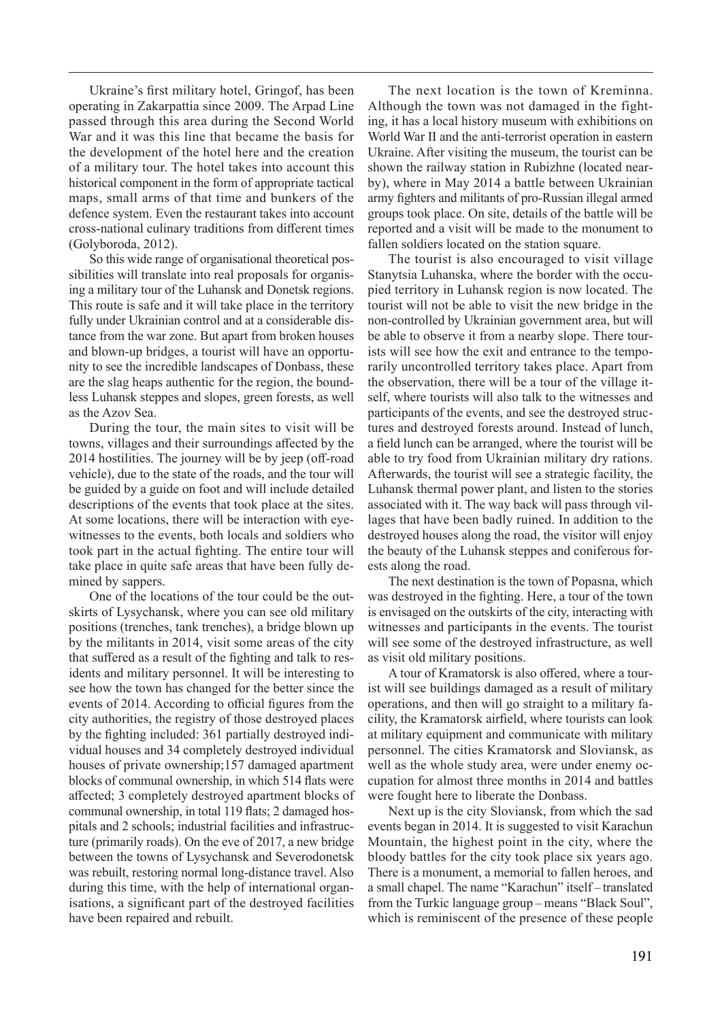Ukraine's first military hotel, Gringof, has been operating in Zakarpattia since 2009. The Arpad Line passed through this area during the Second World War and it was this line that became the basis for the development of the hotel here and the creation of a military tour. The hotel takes into account this historical component in the form of appropriate tactical maps, small arms of that time and bunkers of the defence system. Even the restaurant takes into account cross-national culinary traditions from different times (Golyboroda, 2012).

So this wide range of organisational theoretical possibilities will translate into real proposals for organising a military tour of the Luhansk and Donetsk regions. This route is safe and it will take place in the territory fully under Ukrainian control and at a considerable distance from the war zone. But apart from broken houses and blown-up bridges, a tourist will have an opportunity to see the incredible landscapes of Donbass, these are the slag heaps authentic for the region, the boundless Luhansk steppes and slopes, green forests, as well as the Azov Sea.

During the tour, the main sites to visit will be towns, villages and their surroundings affected by the 2014 hostilities. The journey will be by jeep (off-road vehicle), due to the state of the roads, and the tour will be guided by a guide on foot and will include detailed descriptions of the events that took place at the sites. At some locations, there will be interaction with eyewitnesses to the events, both locals and soldiers who took part in the actual fighting. The entire tour will take place in quite safe areas that have been fully demined by sappers.

One of the locations of the tour could be the outskirts of Lysychansk, where you can see old military positions (trenches, tank trenches), a bridge blown up by the militants in 2014, visit some areas of the city that suffered as a result of the fighting and talk to residents and military personnel. It will be interesting to see how the town has changed for the better since the events of 2014. According to official figures from the city authorities, the registry of those destroyed places by the fighting included: 361 partially destroyed individual houses and 34 completely destroyed individual houses of private ownership;157 damaged apartment blocks of communal ownership, in which 514 flats were affected; 3 completely destroyed apartment blocks of communal ownership, in total 119 flats; 2 damaged hospitals and 2 schools; industrial facilities and infrastructure (primarily roads). On the eve of 2017, a new bridge between the towns of Lysychansk and Severodonetsk was rebuilt, restoring normal long-distance travel. Also during this time, with the help of international organisations, a significant part of the destroyed facilities have been repaired and rebuilt.

The next location is the town of Kreminna. Although the town was not damaged in the fighting, it has a local history museum with exhibitions on World War II and the anti-terrorist operation in eastern Ukraine. After visiting the museum, the tourist can be shown the railway station in Rubizhne (located nearby), where in May 2014 a battle between Ukrainian army fighters and militants of pro-Russian illegal armed groups took place. On site, details of the battle will be reported and a visit will be made to the monument to fallen soldiers located on the station square.

The tourist is also encouraged to visit village Stanytsia Luhanska, where the border with the occupied territory in Luhansk region is now located. The tourist will not be able to visit the new bridge in the non-controlled by Ukrainian government area, but will be able to observe it from a nearby slope. There tourists will see how the exit and entrance to the temporarily uncontrolled territory takes place. Apart from the observation, there will be a tour of the village itself, where tourists will also talk to the witnesses and participants of the events, and see the destroyed structures and destroyed forests around. Instead of lunch, a field lunch can be arranged, where the tourist will be able to try food from Ukrainian military dry rations. Afterwards, the tourist will see a strategic facility, the Luhansk thermal power plant, and listen to the stories associated with it. The way back will pass through villages that have been badly ruined. In addition to the destroyed houses along the road, the visitor will enjoy the beauty of the Luhansk steppes and coniferous forests along the road.

The next destination is the town of Popasna, which was destroyed in the fighting. Here, a tour of the town is envisaged on the outskirts of the city, interacting with witnesses and participants in the events. The tourist will see some of the destroyed infrastructure, as well as visit old military positions.

A tour of Kramatorsk is also offered, where a tourist will see buildings damaged as a result of military operations, and then will go straight to a military facility, the Kramatorsk airfield, where tourists can look at military equipment and communicate with military personnel. The cities Kramatorsk and Sloviansk, as well as the whole study area, were under enemy occupation for almost three months in 2014 and battles were fought here to liberate the Donbass.

Next up is the city Sloviansk, from which the sad events began in 2014. It is suggested to visit Karachun Mountain, the highest point in the city, where the bloody battles for the city took place six years ago. There is a monument, a memorial to fallen heroes, and a small chapel. The name "Karachun" itself – translated from the Turkic language group – means "Black Soul", which is reminiscent of the presence of these people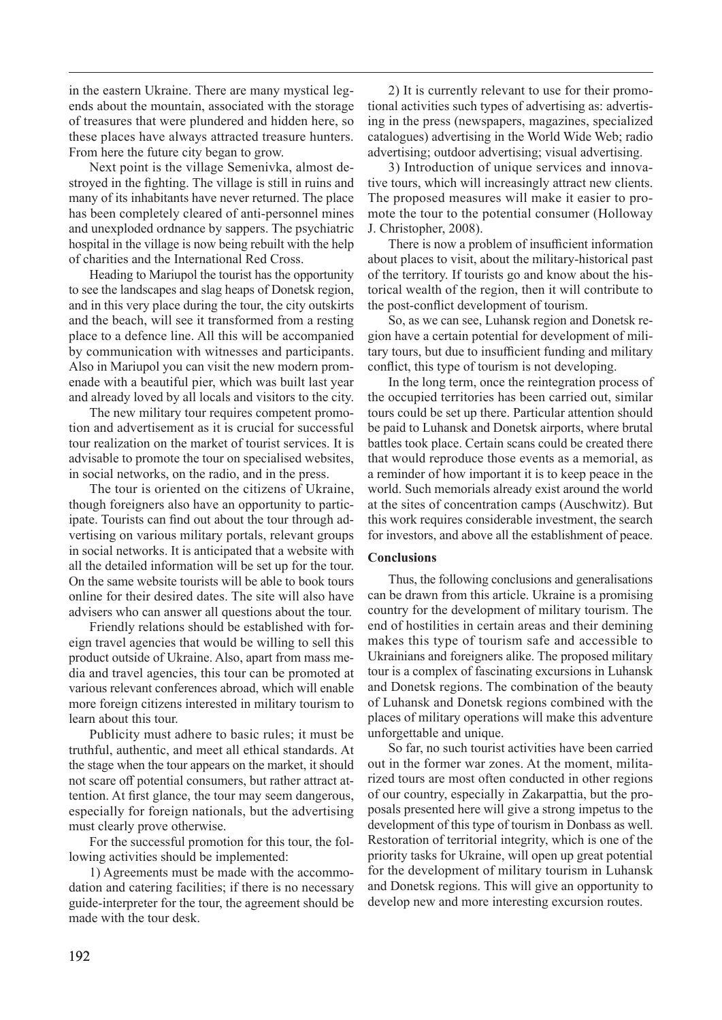in the eastern Ukraine. There are many mystical legends about the mountain, associated with the storage of treasures that were plundered and hidden here, so these places have always attracted treasure hunters. From here the future city began to grow.

Next point is the village Semenivka, almost destroyed in the fighting. The village is still in ruins and many of its inhabitants have never returned. The place has been completely cleared of anti-personnel mines and unexploded ordnance by sappers. The psychiatric hospital in the village is now being rebuilt with the help of charities and the International Red Cross.

Heading to Mariupol the tourist has the opportunity to see the landscapes and slag heaps of Donetsk region, and in this very place during the tour, the city outskirts and the beach, will see it transformed from a resting place to a defence line. All this will be accompanied by communication with witnesses and participants. Also in Mariupol you can visit the new modern promenade with a beautiful pier, which was built last year and already loved by all locals and visitors to the city.

The new military tour requires competent promotion and advertisement as it is crucial for successful tour realization on the market of tourist services. It is advisable to promote the tour on specialised websites, in social networks, on the radio, and in the press.

The tour is oriented on the citizens of Ukraine, though foreigners also have an opportunity to participate. Tourists can find out about the tour through advertising on various military portals, relevant groups in social networks. It is anticipated that a website with all the detailed information will be set up for the tour. On the same website tourists will be able to book tours online for their desired dates. The site will also have advisers who can answer all questions about the tour.

Friendly relations should be established with foreign travel agencies that would be willing to sell this product outside of Ukraine. Also, apart from mass media and travel agencies, this tour can be promoted at various relevant conferences abroad, which will enable more foreign citizens interested in military tourism to learn about this tour.

Publicity must adhere to basic rules; it must be truthful, authentic, and meet all ethical standards. At the stage when the tour appears on the market, it should not scare off potential consumers, but rather attract attention. At first glance, the tour may seem dangerous, especially for foreign nationals, but the advertising must clearly prove otherwise.

For the successful promotion for this tour, the following activities should be implemented:

1) Agreements must be made with the accommodation and catering facilities; if there is no necessary guide-interpreter for the tour, the agreement should be made with the tour desk.

2) It is currently relevant to use for their promotional activities such types of advertising as: advertising in the press (newspapers, magazines, specialized catalogues) advertising in the World Wide Web; radio advertising; outdoor advertising; visual advertising.

3) Introduction of unique services and innovative tours, which will increasingly attract new clients. The proposed measures will make it easier to promote the tour to the potential consumer (Holloway J. Christopher, 2008).

There is now a problem of insufficient information about places to visit, about the military-historical past of the territory. If tourists go and know about the historical wealth of the region, then it will contribute to the post-conflict development of tourism.

So, as we can see, Luhansk region and Donetsk region have a certain potential for development of military tours, but due to insufficient funding and military conflict, this type of tourism is not developing.

In the long term, once the reintegration process of the occupied territories has been carried out, similar tours could be set up there. Particular attention should be paid to Luhansk and Donetsk airports, where brutal battles took place. Certain scans could be created there that would reproduce those events as a memorial, as a reminder of how important it is to keep peace in the world. Such memorials already exist around the world at the sites of concentration camps (Auschwitz). But this work requires considerable investment, the search for investors, and above all the establishment of peace.

### **Conclusions**

Thus, the following conclusions and generalisations can be drawn from this article. Ukraine is a promising country for the development of military tourism. The end of hostilities in certain areas and their demining makes this type of tourism safe and accessible to Ukrainians and foreigners alike. The proposed military tour is a complex of fascinating excursions in Luhansk and Donetsk regions. The combination of the beauty of Luhansk and Donetsk regions combined with the places of military operations will make this adventure unforgettable and unique.

So far, no such tourist activities have been carried out in the former war zones. At the moment, militarized tours are most often conducted in other regions of our country, especially in Zakarpattia, but the proposals presented here will give a strong impetus to the development of this type of tourism in Donbass as well. Restoration of territorial integrity, which is one of the priority tasks for Ukraine, will open up great potential for the development of military tourism in Luhansk and Donetsk regions. This will give an opportunity to develop new and more interesting excursion routes.